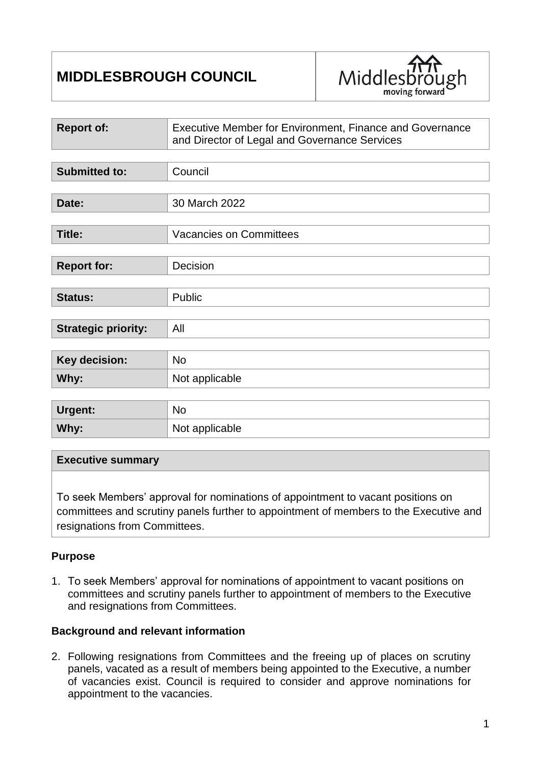# **MIDDLESBROUGH COUNCIL**



| <b>Report of:</b>          | Executive Member for Environment, Finance and Governance<br>and Director of Legal and Governance Services |  |
|----------------------------|-----------------------------------------------------------------------------------------------------------|--|
|                            |                                                                                                           |  |
| <b>Submitted to:</b>       | Council                                                                                                   |  |
|                            |                                                                                                           |  |
| Date:                      | 30 March 2022                                                                                             |  |
|                            |                                                                                                           |  |
| <b>Title:</b>              | <b>Vacancies on Committees</b>                                                                            |  |
|                            |                                                                                                           |  |
| <b>Report for:</b>         | Decision                                                                                                  |  |
|                            |                                                                                                           |  |
| Status:                    | Public                                                                                                    |  |
|                            |                                                                                                           |  |
| <b>Strategic priority:</b> | All                                                                                                       |  |
|                            |                                                                                                           |  |
| <b>Key decision:</b>       | <b>No</b>                                                                                                 |  |
| Why:                       | Not applicable                                                                                            |  |
|                            |                                                                                                           |  |
| Urgent:                    | <b>No</b>                                                                                                 |  |
| Why:                       | Not applicable                                                                                            |  |

#### **Executive summary**

To seek Members' approval for nominations of appointment to vacant positions on committees and scrutiny panels further to appointment of members to the Executive and resignations from Committees.

#### **Purpose**

1. To seek Members' approval for nominations of appointment to vacant positions on committees and scrutiny panels further to appointment of members to the Executive and resignations from Committees.

#### **Background and relevant information**

2. Following resignations from Committees and the freeing up of places on scrutiny panels, vacated as a result of members being appointed to the Executive, a number of vacancies exist. Council is required to consider and approve nominations for appointment to the vacancies.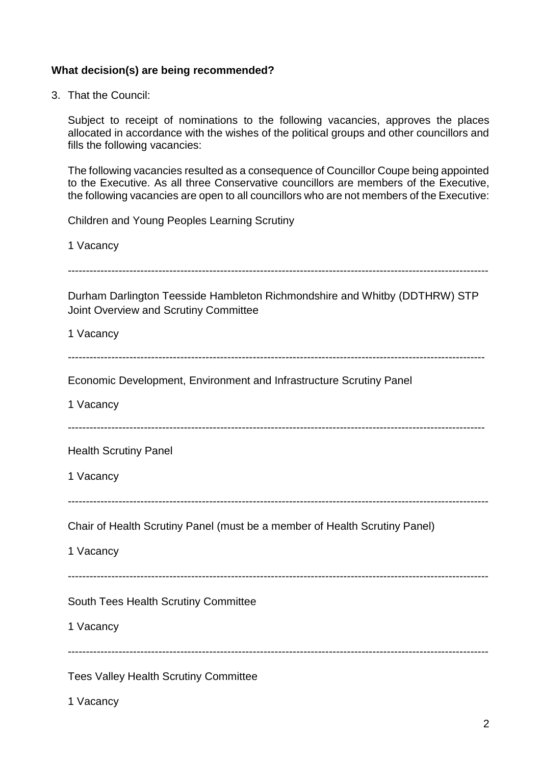### **What decision(s) are being recommended?**

3. That the Council:

Subject to receipt of nominations to the following vacancies, approves the places allocated in accordance with the wishes of the political groups and other councillors and fills the following vacancies:

The following vacancies resulted as a consequence of Councillor Coupe being appointed to the Executive. As all three Conservative councillors are members of the Executive, the following vacancies are open to all councillors who are not members of the Executive:

Children and Young Peoples Learning Scrutiny

1 Vacancy

--------------------------------------------------------------------------------------------------------------------

Durham Darlington Teesside Hambleton Richmondshire and Whitby (DDTHRW) STP Joint Overview and Scrutiny Committee

1 Vacancy

-------------------------------------------------------------------------------------------------------------------

Economic Development, Environment and Infrastructure Scrutiny Panel

1 Vacancy

-------------------------------------------------------------------------------------------------------------------

Health Scrutiny Panel

1 Vacancy

--------------------------------------------------------------------------------------------------------------------

Chair of Health Scrutiny Panel (must be a member of Health Scrutiny Panel)

1 Vacancy

--------------------------------------------------------------------------------------------------------------------

--------------------------------------------------------------------------------------------------------------------

South Tees Health Scrutiny Committee

1 Vacancy

Tees Valley Health Scrutiny Committee

1 Vacancy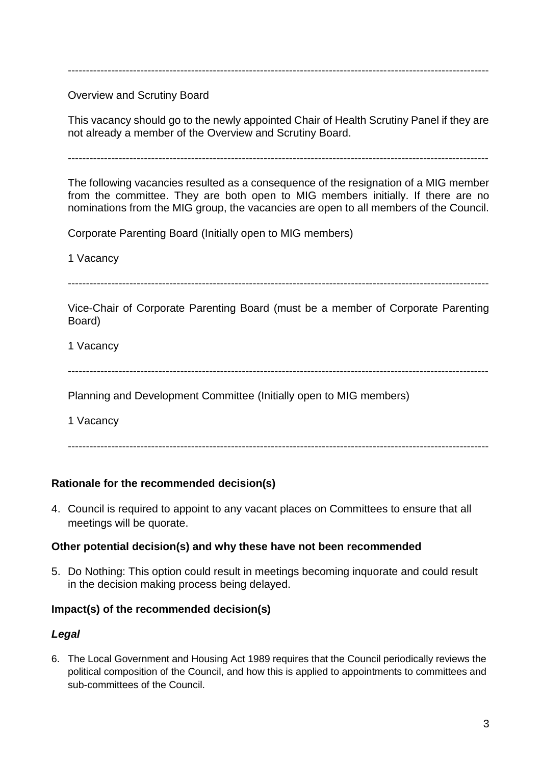--------------------------------------------------------------------------------------------------------------------

Overview and Scrutiny Board

This vacancy should go to the newly appointed Chair of Health Scrutiny Panel if they are not already a member of the Overview and Scrutiny Board.

--------------------------------------------------------------------------------------------------------------------

The following vacancies resulted as a consequence of the resignation of a MIG member from the committee. They are both open to MIG members initially. If there are no nominations from the MIG group, the vacancies are open to all members of the Council.

Corporate Parenting Board (Initially open to MIG members)

1 Vacancy

--------------------------------------------------------------------------------------------------------------------

Vice-Chair of Corporate Parenting Board (must be a member of Corporate Parenting Board)

1 Vacancy

--------------------------------------------------------------------------------------------------------------------

Planning and Development Committee (Initially open to MIG members)

1 Vacancy

--------------------------------------------------------------------------------------------------------------------

# **Rationale for the recommended decision(s)**

4. Council is required to appoint to any vacant places on Committees to ensure that all meetings will be quorate.

#### **Other potential decision(s) and why these have not been recommended**

5. Do Nothing: This option could result in meetings becoming inquorate and could result in the decision making process being delayed.

#### **Impact(s) of the recommended decision(s)**

#### *Legal*

6. The Local Government and Housing Act 1989 requires that the Council periodically reviews the political composition of the Council, and how this is applied to appointments to committees and sub-committees of the Council.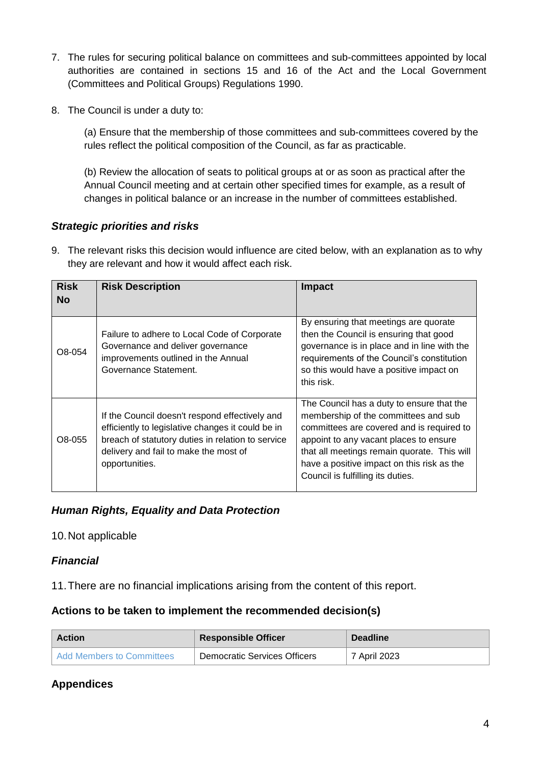- 7. The rules for securing political balance on committees and sub-committees appointed by local authorities are contained in sections 15 and 16 of the Act and the Local Government (Committees and Political Groups) Regulations 1990.
- 8. The Council is under a duty to:

(a) Ensure that the membership of those committees and sub-committees covered by the rules reflect the political composition of the Council, as far as practicable.

(b) Review the allocation of seats to political groups at or as soon as practical after the Annual Council meeting and at certain other specified times for example, as a result of changes in political balance or an increase in the number of committees established.

# *Strategic priorities and risks*

9. The relevant risks this decision would influence are cited below, with an explanation as to why they are relevant and how it would affect each risk.

| <b>Risk</b><br><b>No</b> | <b>Risk Description</b>                                                                                                                                                                                             | <b>Impact</b>                                                                                                                                                                                                                                                                                              |
|--------------------------|---------------------------------------------------------------------------------------------------------------------------------------------------------------------------------------------------------------------|------------------------------------------------------------------------------------------------------------------------------------------------------------------------------------------------------------------------------------------------------------------------------------------------------------|
| O8-054                   | Failure to adhere to Local Code of Corporate<br>Governance and deliver governance<br>improvements outlined in the Annual<br>Governance Statement.                                                                   | By ensuring that meetings are quorate<br>then the Council is ensuring that good<br>governance is in place and in line with the<br>requirements of the Council's constitution<br>so this would have a positive impact on<br>this risk.                                                                      |
| O8-055                   | If the Council doesn't respond effectively and<br>efficiently to legislative changes it could be in<br>breach of statutory duties in relation to service<br>delivery and fail to make the most of<br>opportunities. | The Council has a duty to ensure that the<br>membership of the committees and sub<br>committees are covered and is required to<br>appoint to any vacant places to ensure<br>that all meetings remain quorate. This will<br>have a positive impact on this risk as the<br>Council is fulfilling its duties. |

# *Human Rights, Equality and Data Protection*

# 10.Not applicable

# *Financial*

11.There are no financial implications arising from the content of this report.

# **Actions to be taken to implement the recommended decision(s)**

| <b>Action</b>             | <b>Responsible Officer</b>   | <b>Deadline</b> |
|---------------------------|------------------------------|-----------------|
| Add Members to Committees | Democratic Services Officers | 7 April 2023    |

# **Appendices**